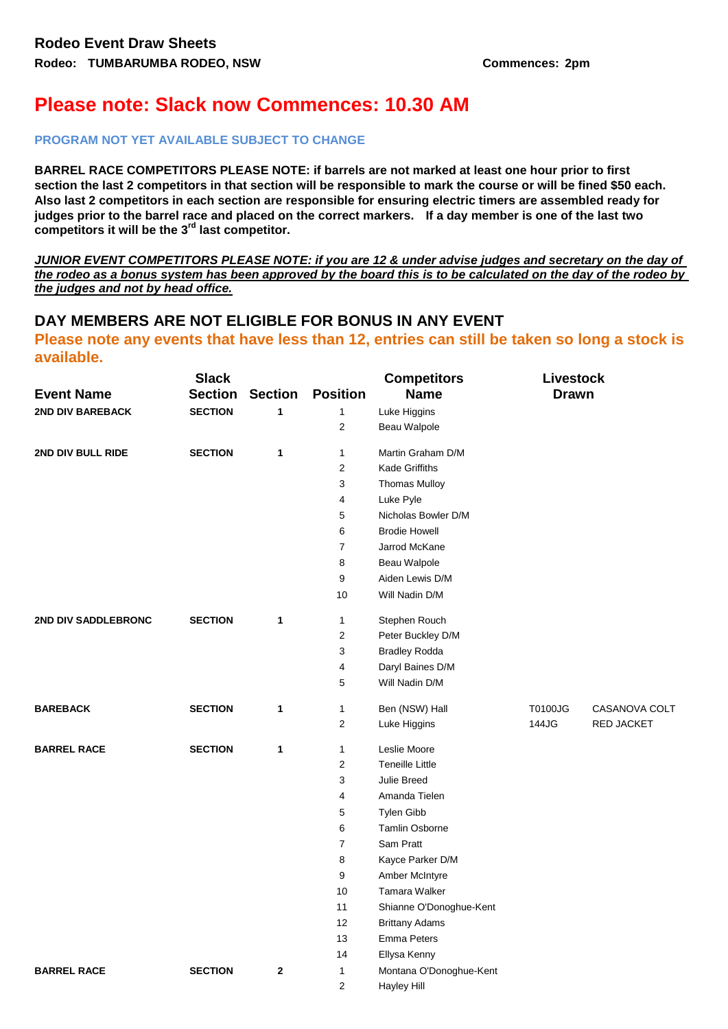## **Please note: Slack now Commences: 10.30 AM**

## **PROGRAM NOT YET AVAILABLE SUBJECT TO CHANGE**

**BARREL RACE COMPETITORS PLEASE NOTE: if barrels are not marked at least one hour prior to first section the last 2 competitors in that section will be responsible to mark the course or will be fined \$50 each. Also last 2 competitors in each section are responsible for ensuring electric timers are assembled ready for judges prior to the barrel race and placed on the correct markers. If a day member is one of the last two competitors it will be the 3rd last competitor.**

*JUNIOR EVENT COMPETITORS PLEASE NOTE: if you are 12 & under advise judges and secretary on the day of the rodeo as a bonus system has been approved by the board this is to be calculated on the day of the rodeo by the judges and not by head office.*

## **DAY MEMBERS ARE NOT ELIGIBLE FOR BONUS IN ANY EVENT**

## **Please note any events that have less than 12, entries can still be taken so long a stock is available.**

|                     | <b>Slack</b>   |                |                  | <b>Competitors</b>      | <b>Livestock</b> |                   |  |
|---------------------|----------------|----------------|------------------|-------------------------|------------------|-------------------|--|
| <b>Event Name</b>   | <b>Section</b> | <b>Section</b> | <b>Position</b>  | <b>Name</b>             | <b>Drawn</b>     |                   |  |
| 2ND DIV BAREBACK    | <b>SECTION</b> | $\mathbf{1}$   | $\mathbf{1}$     | Luke Higgins            |                  |                   |  |
|                     |                |                | 2                | Beau Walpole            |                  |                   |  |
| 2ND DIV BULL RIDE   | <b>SECTION</b> | $\mathbf{1}$   | 1                | Martin Graham D/M       |                  |                   |  |
|                     |                |                | $\overline{c}$   | <b>Kade Griffiths</b>   |                  |                   |  |
|                     |                |                | 3                | <b>Thomas Mulloy</b>    |                  |                   |  |
|                     |                |                | 4                | Luke Pyle               |                  |                   |  |
|                     |                |                | 5                | Nicholas Bowler D/M     |                  |                   |  |
|                     |                |                | 6                | <b>Brodie Howell</b>    |                  |                   |  |
|                     |                |                | 7                | Jarrod McKane           |                  |                   |  |
|                     |                |                | 8                | Beau Walpole            |                  |                   |  |
|                     |                |                | 9                | Aiden Lewis D/M         |                  |                   |  |
|                     |                |                | 10               | Will Nadin D/M          |                  |                   |  |
| 2ND DIV SADDLEBRONC | <b>SECTION</b> | $\mathbf{1}$   | 1                | Stephen Rouch           |                  |                   |  |
|                     |                |                | 2                | Peter Buckley D/M       |                  |                   |  |
|                     |                |                | 3                | <b>Bradley Rodda</b>    |                  |                   |  |
|                     |                |                | 4                | Daryl Baines D/M        |                  |                   |  |
|                     |                |                | 5                | Will Nadin D/M          |                  |                   |  |
| <b>BAREBACK</b>     | <b>SECTION</b> | $\mathbf{1}$   | 1                | Ben (NSW) Hall          | T0100JG          | CASANOVA COLT     |  |
|                     |                |                | $\mathbf{2}$     | Luke Higgins            | 144JG            | <b>RED JACKET</b> |  |
| <b>BARREL RACE</b>  | <b>SECTION</b> | 1              | 1                | Leslie Moore            |                  |                   |  |
|                     |                |                | $\overline{2}$   | <b>Teneille Little</b>  |                  |                   |  |
|                     |                |                | 3                | Julie Breed             |                  |                   |  |
|                     |                |                | 4                | Amanda Tielen           |                  |                   |  |
|                     |                |                | 5                | Tylen Gibb              |                  |                   |  |
|                     |                |                | 6                | Tamlin Osborne          |                  |                   |  |
|                     |                |                | $\boldsymbol{7}$ | Sam Pratt               |                  |                   |  |
|                     |                |                | 8                | Kayce Parker D/M        |                  |                   |  |
|                     |                |                | 9                | Amber McIntyre          |                  |                   |  |
|                     |                |                | 10               | <b>Tamara Walker</b>    |                  |                   |  |
|                     |                |                | 11               | Shianne O'Donoghue-Kent |                  |                   |  |
|                     |                |                | 12               | <b>Brittany Adams</b>   |                  |                   |  |
|                     |                |                | 13               | Emma Peters             |                  |                   |  |
|                     |                |                | 14               | Ellysa Kenny            |                  |                   |  |
| <b>BARREL RACE</b>  | <b>SECTION</b> | $\mathbf{2}$   | 1                | Montana O'Donoghue-Kent |                  |                   |  |
|                     |                |                | 2                | <b>Hayley Hill</b>      |                  |                   |  |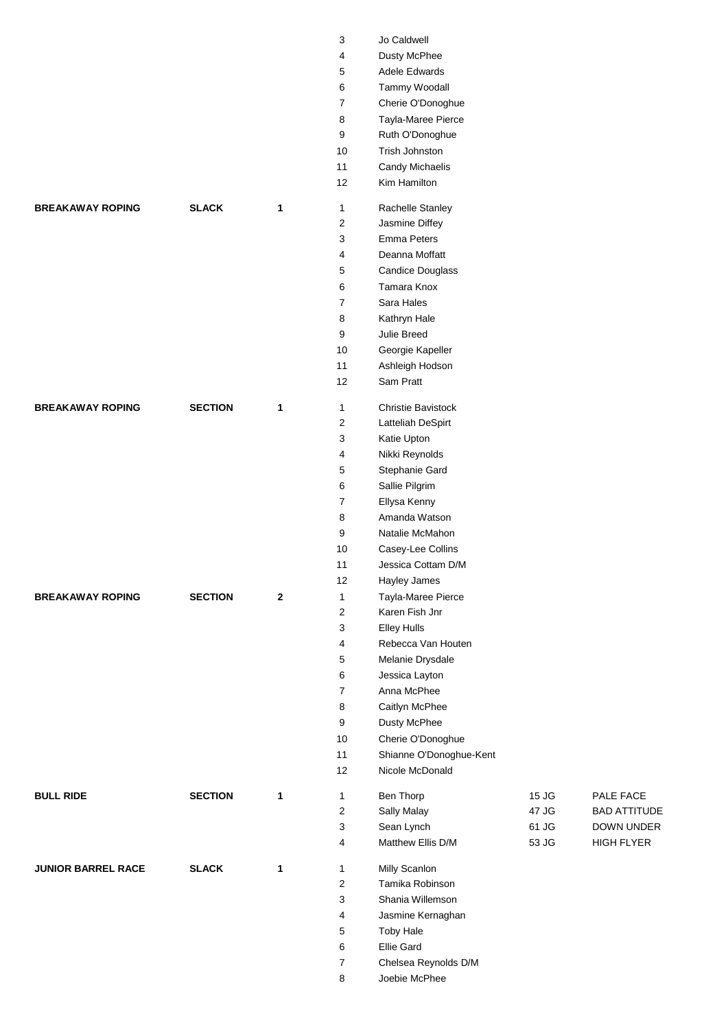|                           |                |             | 3                              | Jo Caldwell                        |       |                     |
|---------------------------|----------------|-------------|--------------------------------|------------------------------------|-------|---------------------|
|                           |                |             | 4                              | Dusty McPhee                       |       |                     |
|                           |                |             | 5                              | Adele Edwards                      |       |                     |
|                           |                |             | $\,6\,$                        | Tammy Woodall                      |       |                     |
|                           |                |             | $\overline{7}$                 | Cherie O'Donoghue                  |       |                     |
|                           |                |             | 8                              | Tayla-Maree Pierce                 |       |                     |
|                           |                |             | 9                              | Ruth O'Donoghue                    |       |                     |
|                           |                |             | 10                             | Trish Johnston                     |       |                     |
|                           |                |             | 11                             | Candy Michaelis                    |       |                     |
|                           |                |             | 12                             | Kim Hamilton                       |       |                     |
| <b>BREAKAWAY ROPING</b>   | <b>SLACK</b>   | 1           | $\mathbf{1}$                   | Rachelle Stanley                   |       |                     |
|                           |                |             | $\overline{c}$                 | Jasmine Diffey                     |       |                     |
|                           |                |             | 3                              | <b>Emma Peters</b>                 |       |                     |
|                           |                |             | 4                              | Deanna Moffatt                     |       |                     |
|                           |                |             | 5                              | <b>Candice Douglass</b>            |       |                     |
|                           |                |             | 6                              | Tamara Knox                        |       |                     |
|                           |                |             | 7                              | Sara Hales                         |       |                     |
|                           |                |             | 8                              | Kathryn Hale                       |       |                     |
|                           |                |             | 9                              | Julie Breed                        |       |                     |
|                           |                |             | 10                             | Georgie Kapeller                   |       |                     |
|                           |                |             | 11                             | Ashleigh Hodson                    |       |                     |
|                           |                |             | 12                             | Sam Pratt                          |       |                     |
|                           |                |             |                                |                                    |       |                     |
| <b>BREAKAWAY ROPING</b>   | <b>SECTION</b> | 1           | $\mathbf{1}$<br>$\overline{2}$ | Christie Bavistock                 |       |                     |
|                           |                |             |                                | Latteliah DeSpirt                  |       |                     |
|                           |                |             | 3<br>4                         | Katie Upton                        |       |                     |
|                           |                |             |                                | Nikki Reynolds                     |       |                     |
|                           |                |             | 5                              | Stephanie Gard                     |       |                     |
|                           |                |             | 6                              | Sallie Pilgrim                     |       |                     |
|                           |                |             | 7                              | Ellysa Kenny                       |       |                     |
|                           |                |             | 8                              | Amanda Watson                      |       |                     |
|                           |                |             | 9                              | Natalie McMahon                    |       |                     |
|                           |                |             | 10                             | Casey-Lee Collins                  |       |                     |
|                           |                |             | 11                             | Jessica Cottam D/M                 |       |                     |
| <b>BREAKAWAY ROPING</b>   |                |             | 12                             | Hayley James<br>Tayla-Maree Pierce |       |                     |
|                           | <b>SECTION</b> | $\mathbf 2$ | $\mathbf{1}$<br>$\overline{2}$ | Karen Fish Jnr                     |       |                     |
|                           |                |             | 3                              | Elley Hulls                        |       |                     |
|                           |                |             | 4                              | Rebecca Van Houten                 |       |                     |
|                           |                |             | 5                              | Melanie Drysdale                   |       |                     |
|                           |                |             | 6                              | Jessica Layton                     |       |                     |
|                           |                |             | 7                              | Anna McPhee                        |       |                     |
|                           |                |             | 8                              | Caitlyn McPhee                     |       |                     |
|                           |                |             | 9                              | Dusty McPhee                       |       |                     |
|                           |                |             | 10                             | Cherie O'Donoghue                  |       |                     |
|                           |                |             | 11                             | Shianne O'Donoghue-Kent            |       |                     |
|                           |                |             | 12                             | Nicole McDonald                    |       |                     |
| <b>BULL RIDE</b>          | <b>SECTION</b> | 1           | $\mathbf{1}$                   | Ben Thorp                          | 15 JG | PALE FACE           |
|                           |                |             | 2                              | Sally Malay                        | 47 JG | <b>BAD ATTITUDE</b> |
|                           |                |             | 3                              | Sean Lynch                         | 61 JG | DOWN UNDER          |
|                           |                |             | 4                              | Matthew Ellis D/M                  | 53 JG | <b>HIGH FLYER</b>   |
|                           |                |             |                                |                                    |       |                     |
| <b>JUNIOR BARREL RACE</b> | <b>SLACK</b>   | 1           | $\mathbf{1}$                   | Milly Scanlon                      |       |                     |
|                           |                |             | $\overline{c}$                 | Tamika Robinson                    |       |                     |
|                           |                |             | 3                              | Shania Willemson                   |       |                     |
|                           |                |             | 4                              | Jasmine Kernaghan                  |       |                     |
|                           |                |             | 5                              | <b>Toby Hale</b>                   |       |                     |
|                           |                |             | 6                              | Ellie Gard                         |       |                     |
|                           |                |             | $\overline{7}$                 | Chelsea Reynolds D/M               |       |                     |
|                           |                |             | 8                              | Joebie McPhee                      |       |                     |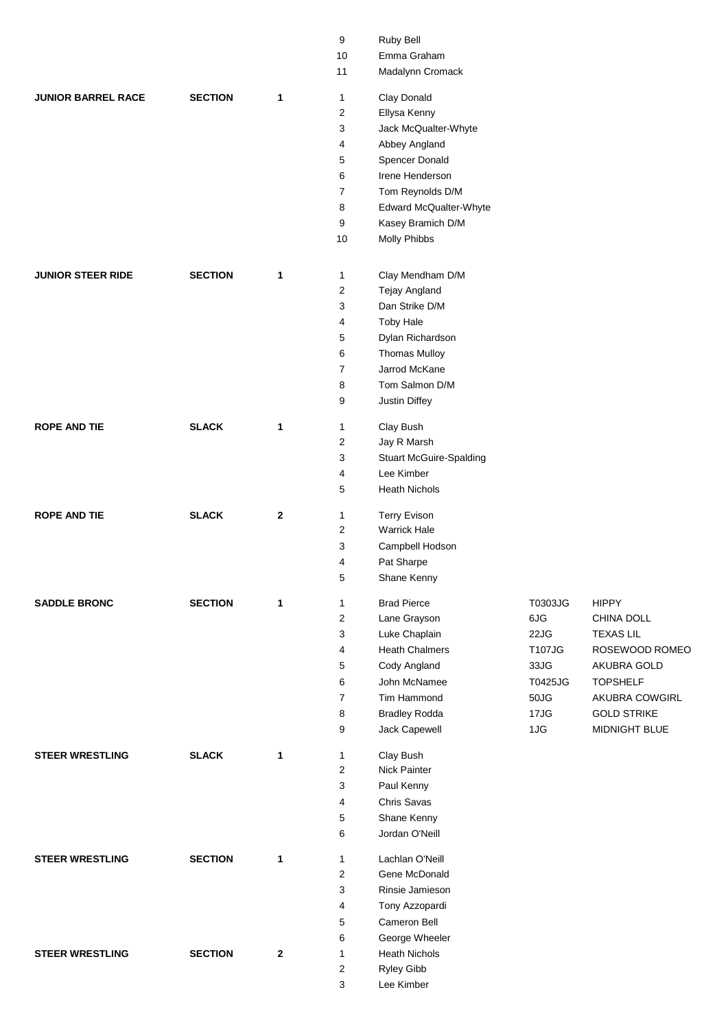|                           |                |              | 9              | Ruby Bell                      |         |                    |
|---------------------------|----------------|--------------|----------------|--------------------------------|---------|--------------------|
|                           |                |              | 10             | Emma Graham                    |         |                    |
|                           |                |              | 11             | Madalynn Cromack               |         |                    |
| <b>JUNIOR BARREL RACE</b> | <b>SECTION</b> | 1            | 1              | Clay Donald                    |         |                    |
|                           |                |              | 2              | Ellysa Kenny                   |         |                    |
|                           |                |              | 3              | Jack McQualter-Whyte           |         |                    |
|                           |                |              | 4              | Abbey Angland                  |         |                    |
|                           |                |              | 5              | Spencer Donald                 |         |                    |
|                           |                |              | 6              | Irene Henderson                |         |                    |
|                           |                |              | 7              | Tom Reynolds D/M               |         |                    |
|                           |                |              | 8              | Edward McQualter-Whyte         |         |                    |
|                           |                |              | 9              | Kasey Bramich D/M              |         |                    |
|                           |                |              | 10             | <b>Molly Phibbs</b>            |         |                    |
|                           |                |              |                |                                |         |                    |
| <b>JUNIOR STEER RIDE</b>  | <b>SECTION</b> | 1            | $\mathbf{1}$   | Clay Mendham D/M               |         |                    |
|                           |                |              | 2              | Tejay Angland                  |         |                    |
|                           |                |              | 3              | Dan Strike D/M                 |         |                    |
|                           |                |              | 4              | <b>Toby Hale</b>               |         |                    |
|                           |                |              | 5              | Dylan Richardson               |         |                    |
|                           |                |              | 6              | <b>Thomas Mulloy</b>           |         |                    |
|                           |                |              | $\overline{7}$ | Jarrod McKane                  |         |                    |
|                           |                |              | 8              | Tom Salmon D/M                 |         |                    |
|                           |                |              | 9              | Justin Diffey                  |         |                    |
| <b>ROPE AND TIE</b>       | <b>SLACK</b>   | 1            | 1              | Clay Bush                      |         |                    |
|                           |                |              | $\overline{c}$ | Jay R Marsh                    |         |                    |
|                           |                |              | 3              | <b>Stuart McGuire-Spalding</b> |         |                    |
|                           |                |              | 4              | Lee Kimber                     |         |                    |
|                           |                |              | 5              | <b>Heath Nichols</b>           |         |                    |
| <b>ROPE AND TIE</b>       | <b>SLACK</b>   | $\mathbf{2}$ | 1              | <b>Terry Evison</b>            |         |                    |
|                           |                |              | $\overline{2}$ | <b>Warrick Hale</b>            |         |                    |
|                           |                |              | 3              | Campbell Hodson                |         |                    |
|                           |                |              | 4              | Pat Sharpe                     |         |                    |
|                           |                |              | 5              | Shane Kenny                    |         |                    |
| <b>SADDLE BRONC</b>       | <b>SECTION</b> | 1            | 1              | <b>Brad Pierce</b>             | T0303JG | <b>HIPPY</b>       |
|                           |                |              | 2              | Lane Grayson                   | 6JG     | CHINA DOLL         |
|                           |                |              | 3              | Luke Chaplain                  | 22JG    | <b>TEXAS LIL</b>   |
|                           |                |              | 4              | <b>Heath Chalmers</b>          | T107JG  | ROSEWOOD ROMEO     |
|                           |                |              | 5              | Cody Angland                   | 33JG    | AKUBRA GOLD        |
|                           |                |              | 6              | John McNamee                   | T0425JG | <b>TOPSHELF</b>    |
|                           |                |              | $\overline{7}$ | Tim Hammond                    | 50JG    | AKUBRA COWGIRL     |
|                           |                |              | 8              | <b>Bradley Rodda</b>           | 17JG    | <b>GOLD STRIKE</b> |
|                           |                |              | 9              | Jack Capewell                  | 1JG     | MIDNIGHT BLUE      |
| <b>STEER WRESTLING</b>    | <b>SLACK</b>   | 1            | $\mathbf{1}$   | Clay Bush                      |         |                    |
|                           |                |              | $\overline{2}$ | Nick Painter                   |         |                    |
|                           |                |              | 3              | Paul Kenny                     |         |                    |
|                           |                |              | 4              | Chris Savas                    |         |                    |
|                           |                |              | 5              | Shane Kenny                    |         |                    |
|                           |                |              | 6              | Jordan O'Neill                 |         |                    |
| <b>STEER WRESTLING</b>    | <b>SECTION</b> | 1            | 1              | Lachlan O'Neill                |         |                    |
|                           |                |              | 2              | Gene McDonald                  |         |                    |
|                           |                |              | 3              | Rinsie Jamieson                |         |                    |
|                           |                |              | 4              | Tony Azzopardi                 |         |                    |
|                           |                |              | 5              | Cameron Bell                   |         |                    |
|                           |                |              | 6              | George Wheeler                 |         |                    |
| <b>STEER WRESTLING</b>    | <b>SECTION</b> | 2            | 1              | <b>Heath Nichols</b>           |         |                    |
|                           |                |              | $\overline{c}$ | Ryley Gibb                     |         |                    |
|                           |                |              | 3              | Lee Kimber                     |         |                    |